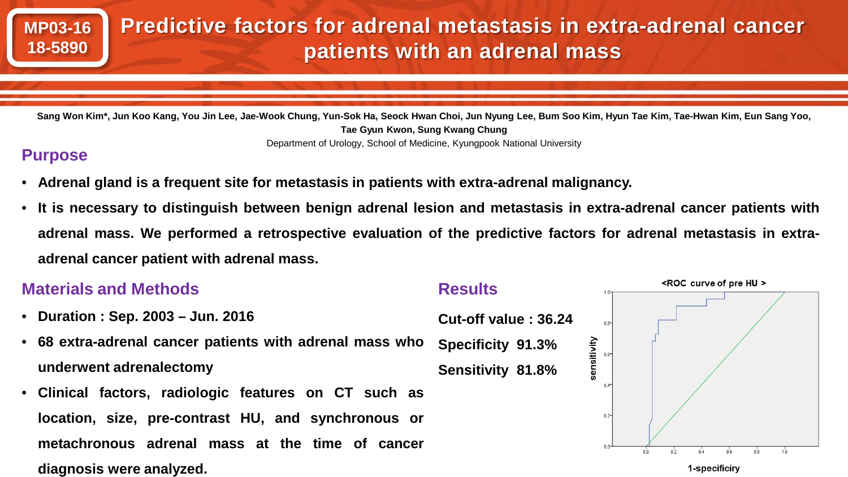

**Tae Gyun Kwon, Sung Kwang Chung** Department of Urology, School of Medicine, Kyungpook National University

## **Purpose**

- **Adrenal gland is a frequent site for metastasis in patients with extra-adrenal malignancy.**
- It is necessary to distinguish between benign adrenal lesion and metastasis in extra-adrenal cancer patients with adrenal mass. We performed a retrospective evaluation of the predictive factors for adrenal metastasis in extra**adrenal cancer patient with adrenal mass.**

## <ROC curve of pre HU > **Materials and Methods Results**• **Duration : Sep. 2003 – Jun. 2016 Cut-off value : 36.24**  $0.8^{\circ}$ • **68 extra-adrenal cancer patients with adrenal mass who** sensitivity **Specificity 91.3% underwent adrenalectomy Sensitivity 81.8%** • **Clinical factors, radiologic features on CT such as location, size, pre-contrast HU, and synchronous or**  $0.2$ **metachronous adrenal mass at the time of cancer diagnosis were analyzed.** 1-specificiry